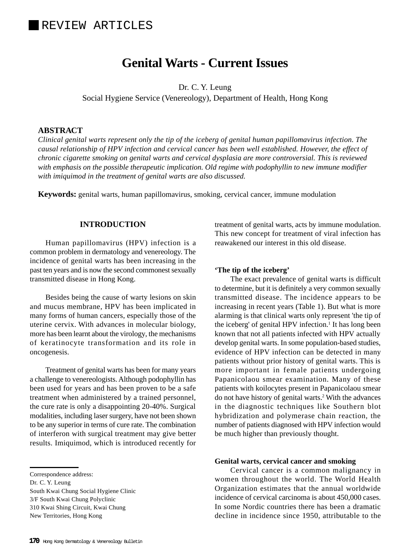# **Genital Warts - Current Issues**

Dr. C. Y. Leung

Social Hygiene Service (Venereology), Department of Health, Hong Kong

#### **ABSTRACT**

*Clinical genital warts represent only the tip of the iceberg of genital human papillomavirus infection. The causal relationship of HPV infection and cervical cancer has been well established. However, the effect of chronic cigarette smoking on genital warts and cervical dysplasia are more controversial. This is reviewed with emphasis on the possible therapeutic implication. Old regime with podophyllin to new immune modifier with imiquimod in the treatment of genital warts are also discussed.*

**Keywords:** genital warts, human papillomavirus, smoking, cervical cancer, immune modulation

## **INTRODUCTION**

Human papillomavirus (HPV) infection is a common problem in dermatology and venereology. The incidence of genital warts has been increasing in the past ten years and is now the second commonest sexually transmitted disease in Hong Kong.

Besides being the cause of warty lesions on skin and mucus membrane, HPV has been implicated in many forms of human cancers, especially those of the uterine cervix. With advances in molecular biology, more has been learnt about the virology, the mechanisms of keratinocyte transformation and its role in oncogenesis.

Treatment of genital warts has been for many years a challenge to venereologists. Although podophyllin has been used for years and has been proven to be a safe treatment when administered by a trained personnel, the cure rate is only a disappointing 20-40%. Surgical modalities, including laser surgery, have not been shown to be any superior in terms of cure rate. The combination of interferon with surgical treatment may give better results. Imiquimod, which is introduced recently for

South Kwai Chung Social Hygiene Clinic 3/F South Kwai Chung Polyclinic 310 Kwai Shing Circuit, Kwai Chung New Territories, Hong Kong

treatment of genital warts, acts by immune modulation. This new concept for treatment of viral infection has reawakened our interest in this old disease.

#### **'The tip of the iceberg'**

The exact prevalence of genital warts is difficult to determine, but it is definitely a very common sexually transmitted disease. The incidence appears to be increasing in recent years (Table 1). But what is more alarming is that clinical warts only represent 'the tip of the iceberg' of genital HPV infection.<sup>1</sup> It has long been known that not all patients infected with HPV actually develop genital warts. In some population-based studies, evidence of HPV infection can be detected in many patients without prior history of genital warts. This is more important in female patients undergoing Papanicolaou smear examination. Many of these patients with koilocytes present in Papanicolaou smear do not have history of genital warts.<sup>2</sup> With the advances in the diagnostic techniques like Southern blot hybridization and polymerase chain reaction, the number of patients diagnosed with HPV infection would be much higher than previously thought.

#### **Genital warts, cervical cancer and smoking**

Cervical cancer is a common malignancy in women throughout the world. The World Health Organization estimates that the annual worldwide incidence of cervical carcinoma is about 450,000 cases. In some Nordic countries there has been a dramatic decline in incidence since 1950, attributable to the

Correspondence address:

Dr. C. Y. Leung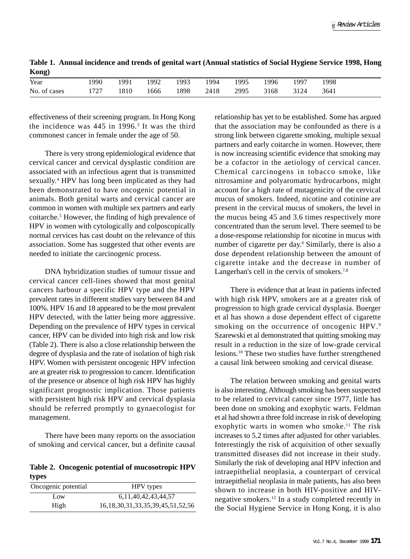**Table 1. Annual incidence and trends of genital wart (Annual statistics of Social Hygiene Service 1998, Hong Kong)**

| $\cdots$     |      |      |      |      |      |      |      |      |      |
|--------------|------|------|------|------|------|------|------|------|------|
| Year         | 1990 | 1991 | 1992 | 1993 | 1994 | 1995 | 1996 | 1997 | 1998 |
| No. of cases | 1727 | 1810 | 1666 | 1898 | 2418 | 2995 | 3168 | 3124 | 3641 |

effectiveness of their screening program. In Hong Kong the incidence was  $445$  in 1996.<sup>3</sup> It was the third commonest cancer in female under the age of 50.

There is very strong epidemiological evidence that cervical cancer and cervical dysplastic condition are associated with an infectious agent that is transmitted sexually.<sup>4</sup> HPV has long been implicated as they had been demonstrated to have oncogenic potential in animals. Both genital warts and cervical cancer are common in women with multiple sex partners and early coitarche.<sup>5</sup> However, the finding of high prevalence of HPV in women with cytologically and colposcopically normal cervices has cast doubt on the relevance of this association. Some has suggested that other events are needed to initiate the carcinogenic process.

DNA hybridization studies of tumour tissue and cervical cancer cell-lines showed that most genital cancers harbour a specific HPV type and the HPV prevalent rates in different studies vary between 84 and 100%. HPV 16 and 18 appeared to be the most prevalent HPV detected, with the latter being more aggressive. Depending on the prevalence of HPV types in cervical cancer, HPV can be divided into high risk and low risk (Table 2). There is also a close relationship between the degree of dysplasia and the rate of isolation of high risk HPV. Women with persistent oncogenic HPV infection are at greater risk to progression to cancer. Identification of the presence or absence of high risk HPV has highly significant prognostic implication. Those patients with persistent high risk HPV and cervical dysplasia should be referred promptly to gynaecologist for management.

There have been many reports on the association of smoking and cervical cancer, but a definite causal

**Table 2. Oncogenic potential of mucosotropic HPV types**

| Oncogenic potential | HPV types                                  |  |  |  |  |  |
|---------------------|--------------------------------------------|--|--|--|--|--|
| Low                 | 6, 11, 40, 42, 43, 44, 57                  |  |  |  |  |  |
| High                | 16, 18, 30, 31, 33, 35, 39, 45, 51, 52, 56 |  |  |  |  |  |

relationship has yet to be established. Some has argued that the association may be confounded as there is a strong link between cigarette smoking, multiple sexual partners and early coitarche in women. However, there is now increasing scientific evidence that smoking may be a cofactor in the aetiology of cervical cancer. Chemical carcinogens in tobacco smoke, like nitrosamine and polyaromatic hydrocarbons, might account for a high rate of mutagenicity of the cervical mucus of smokers. Indeed, nicotine and cotinine are present in the cervical mucus of smokers, the level in the mucus being 45 and 3.6 times respectively more concentrated than the serum level. There seemed to be a dose-response relationship for nicotine in mucus with number of cigarette per day.<sup>6</sup> Similarly, there is also a dose dependent relationship between the amount of cigarette intake and the decrease in number of Langerhan's cell in the cervix of smokers.<sup>7,8</sup>

There is evidence that at least in patients infected with high risk HPV, smokers are at a greater risk of progression to high grade cervical dysplasia. Buerger et al has shown a dose dependent effect of cigarette smoking on the occurrence of oncogenic HPV.<sup>9</sup> Szarewski et al demonstrated that quitting smoking may result in a reduction in the size of low-grade cervical lesions.10 These two studies have further strengthened a causal link between smoking and cervical disease.

The relation between smoking and genital warts is also interesting. Although smoking has been suspected to be related to cervical cancer since 1977, little has been done on smoking and exophytic warts. Feldman et al had shown a three fold increase in risk of developing exophytic warts in women who smoke.<sup>11</sup> The risk increases to 5.2 times after adjusted for other variables. Interestingly the risk of acquisition of other sexually transmitted diseases did not increase in their study. Similarly the risk of developing anal HPV infection and intraepithelial neoplasia, a counterpart of cervical intraepithelial neoplasia in male patients, has also been shown to increase in both HIV-positive and HIVnegative smokers.12 In a study completed recently in the Social Hygiene Service in Hong Kong, it is also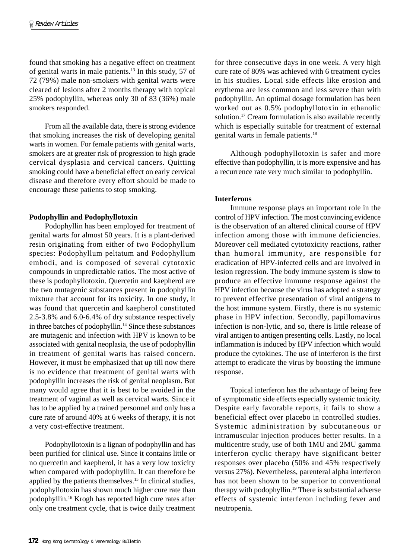found that smoking has a negative effect on treatment of genital warts in male patients.13 In this study, 57 of 72 (79%) male non-smokers with genital warts were cleared of lesions after 2 months therapy with topical 25% podophyllin, whereas only 30 of 83 (36%) male smokers responded.

From all the available data, there is strong evidence that smoking increases the risk of developing genital warts in women. For female patients with genital warts, smokers are at greater risk of progression to high grade cervical dysplasia and cervical cancers. Quitting smoking could have a beneficial effect on early cervical disease and therefore every effort should be made to encourage these patients to stop smoking.

## **Podophyllin and Podophyllotoxin**

Podophyllin has been employed for treatment of genital warts for almost 50 years. It is a plant-derived resin originating from either of two Podophyllum species: Podophyllum peltatum and Podophyllum embodi, and is composed of several cytotoxic compounds in unpredictable ratios. The most active of these is podophyllotoxin. Quercetin and kaepherol are the two mutagenic substances present in podophyllin mixture that account for its toxicity. In one study, it was found that quercetin and kaepherol constituted 2.5-3.8% and 6.0-6.4% of dry substance respectively in three batches of podophyllin.<sup>14</sup> Since these substances are mutagenic and infection with HPV is known to be associated with genital neoplasia, the use of podophyllin in treatment of genital warts has raised concern. However, it must be emphasized that up till now there is no evidence that treatment of genital warts with podophyllin increases the risk of genital neoplasm. But many would agree that it is best to be avoided in the treatment of vaginal as well as cervical warts. Since it has to be applied by a trained personnel and only has a cure rate of around 40% at 6 weeks of therapy, it is not a very cost-effective treatment.

Podophyllotoxin is a lignan of podophyllin and has been purified for clinical use. Since it contains little or no quercetin and kaepherol, it has a very low toxicity when compared with podophyllin. It can therefore be applied by the patients themselves.<sup>15</sup> In clinical studies, podophyllotoxin has shown much higher cure rate than podophyllin.16 Krogh has reported high cure rates after only one treatment cycle, that is twice daily treatment

for three consecutive days in one week. A very high cure rate of 80% was achieved with 6 treatment cycles in his studies. Local side effects like erosion and erythema are less common and less severe than with podophyllin. An optimal dosage formulation has been worked out as 0.5% podophyllotoxin in ethanolic solution.<sup>17</sup> Cream formulation is also available recently which is especially suitable for treatment of external genital warts in female patients.18

Although podophyllotoxin is safer and more effective than podophyllin, it is more expensive and has a recurrence rate very much similar to podophyllin.

## **Interferons**

Immune response plays an important role in the control of HPV infection. The most convincing evidence is the observation of an altered clinical course of HPV infection among those with immune deficiencies. Moreover cell mediated cytotoxicity reactions, rather than humoral immunity, are responsible for eradication of HPV-infected cells and are involved in lesion regression. The body immune system is slow to produce an effective immune response against the HPV infection because the virus has adopted a strategy to prevent effective presentation of viral antigens to the host immune system. Firstly, there is no systemic phase in HPV infection. Secondly, papillomavirus infection is non-lytic, and so, there is little release of viral antigen to antigen presenting cells. Lastly, no local inflammation is induced by HPV infection which would produce the cytokines. The use of interferon is the first attempt to eradicate the virus by boosting the immune response.

Topical interferon has the advantage of being free of symptomatic side effects especially systemic toxicity. Despite early favorable reports, it fails to show a beneficial effect over placebo in controlled studies. Systemic administration by subcutaneous or intramuscular injection produces better results. In a multicentre study, use of both 1MU and 2MU gamma interferon cyclic therapy have significant better responses over placebo (50% and 45% respectively versus 27%). Nevertheless, parenteral alpha interferon has not been shown to be superior to conventional therapy with podophyllin.19 There is substantial adverse effects of systemic interferon including fever and neutropenia.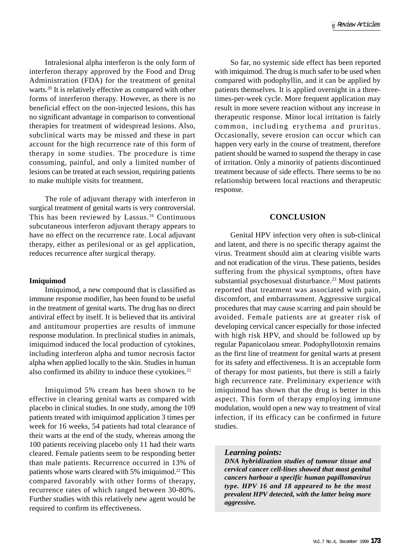Intralesional alpha interferon is the only form of interferon therapy approved by the Food and Drug Administration (FDA) for the treatment of genital warts.<sup>20</sup> It is relatively effective as compared with other forms of interferon therapy. However, as there is no beneficial effect on the non-injected lesions, this has no significant advantage in comparison to conventional therapies for treatment of widespread lesions. Also, subclinical warts may be missed and these in part account for the high recurrence rate of this form of therapy in some studies. The procedure is time consuming, painful, and only a limited number of lesions can be treated at each session, requiring patients to make multiple visits for treatment.

The role of adjuvant therapy with interferon in surgical treatment of genital warts is very controversial. This has been reviewed by Lassus.16 Continuous subcutaneous interferon adjuvant therapy appears to have no effect on the recurrence rate. Local adjuvant therapy, either as perilesional or as gel application, reduces recurrence after surgical therapy.

#### **Imiquimod**

Imiquimod, a new compound that is classified as immune response modifier, has been found to be useful in the treatment of genital warts. The drug has no direct antiviral effect by itself. It is believed that its antiviral and antitumour properties are results of immune response modulation. In preclinical studies in animals, imiquimod induced the local production of cytokines, including interferon alpha and tumor necrosis factor alpha when applied locally to the skin. Studies in human also confirmed its ability to induce these cytokines.<sup>21</sup>

Imiquimod 5% cream has been shown to be effective in clearing genital warts as compared with placebo in clinical studies. In one study, among the 109 patients treated with imiquimod application 3 times per week for 16 weeks, 54 patients had total clearance of their warts at the end of the study, whereas among the 100 patients receiving placebo only 11 had their warts cleared. Female patients seem to be responding better than male patients. Recurrence occurred in 13% of patients whose warts cleared with 5% imiquimod.22 This compared favorably with other forms of therapy, recurrence rates of which ranged between 30-80%. Further studies with this relatively new agent would be required to confirm its effectiveness.

So far, no systemic side effect has been reported with imiquimod. The drug is much safer to be used when compared with podophyllin, and it can be applied by patients themselves. It is applied overnight in a threetimes-per-week cycle. More frequent application may result in more severe reaction without any increase in therapeutic response. Minor local irritation is fairly common, including erythema and pruritus. Occasionally, severe erosion can occur which can happen very early in the course of treatment, therefore patient should be warned to suspend the therapy in case of irritation. Only a minority of patients discontinued treatment because of side effects. There seems to be no relationship between local reactions and therapeutic response.

## **CONCLUSION**

Genital HPV infection very often is sub-clinical and latent, and there is no specific therapy against the virus. Treatment should aim at clearing visible warts and not eradication of the virus. These patients, besides suffering from the physical symptoms, often have substantial psychosexual disturbance.<sup>23</sup> Most patients reported that treatment was associated with pain, discomfort, and embarrassment. Aggressive surgical procedures that may cause scarring and pain should be avoided. Female patients are at greater risk of developing cervical cancer especially for those infected with high risk HPV, and should be followed up by regular Papanicolaou smear. Podophyllotoxin remains as the first line of treatment for genital warts at present for its safety and effectiveness. It is an acceptable form of therapy for most patients, but there is still a fairly high recurrence rate. Preliminary experience with imiquimod has shown that the drug is better in this aspect. This form of therapy employing immune modulation, would open a new way to treatment of viral infection, if its efficacy can be confirmed in future studies.

#### *Learning points:*

*DNA hybridization studies of tumour tissue and cervical cancer cell-lines showed that most genital cancers harbour a specific human papillomavirus type. HPV 16 and 18 appeared to be the most prevalent HPV detected, with the latter being more aggressive.*